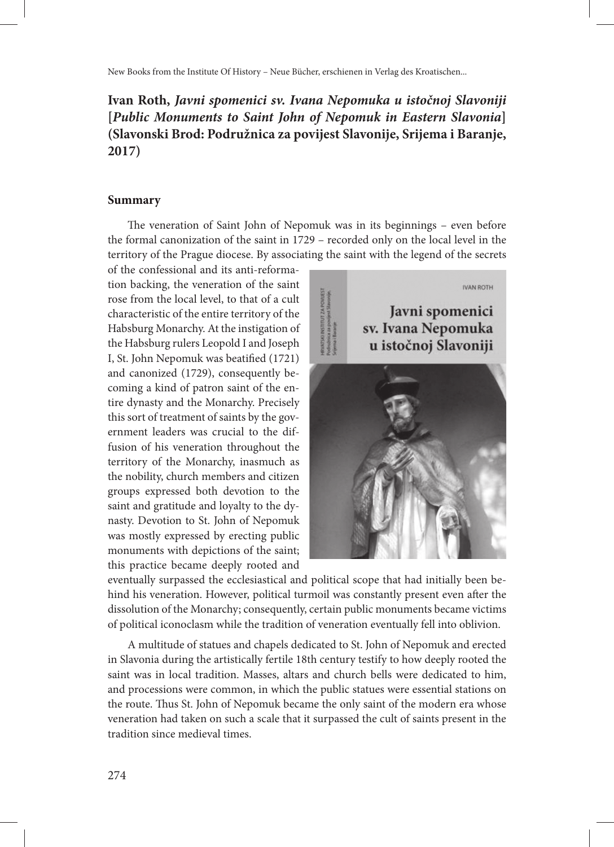New Books from the Institute Of History – Neue Bücher, erschienen in Verlag des Kroatischen...

## **Ivan Roth,** *Javni spomenici sv. Ivana Nepomuka u istočnoj Slavoniji* **[***Public Monuments to Saint John of Nepomuk in Eastern Slavonia***] (Slavonski Brod: Podružnica za povijest Slavonije, Srijema i Baranje, 2017)**

## **Summary**

The veneration of Saint John of Nepomuk was in its beginnings – even before the formal canonization of the saint in 1729 – recorded only on the local level in the territory of the Prague diocese. By associating the saint with the legend of the secrets

of the confessional and its anti-reformation backing, the veneration of the saint rose from the local level, to that of a cult characteristic of the entire territory of the Habsburg Monarchy. At the instigation of the Habsburg rulers Leopold I and Joseph I, St. John Nepomuk was beatified (1721) and canonized (1729), consequently becoming a kind of patron saint of the entire dynasty and the Monarchy. Precisely this sort of treatment of saints by the government leaders was crucial to the diffusion of his veneration throughout the territory of the Monarchy, inasmuch as the nobility, church members and citizen groups expressed both devotion to the saint and gratitude and loyalty to the dynasty. Devotion to St. John of Nepomuk was mostly expressed by erecting public monuments with depictions of the saint; this practice became deeply rooted and



eventually surpassed the ecclesiastical and political scope that had initially been behind his veneration. However, political turmoil was constantly present even after the dissolution of the Monarchy; consequently, certain public monuments became victims of political iconoclasm while the tradition of veneration eventually fell into oblivion.

A multitude of statues and chapels dedicated to St. John of Nepomuk and erected in Slavonia during the artistically fertile 18th century testify to how deeply rooted the saint was in local tradition. Masses, altars and church bells were dedicated to him, and processions were common, in which the public statues were essential stations on the route. Thus St. John of Nepomuk became the only saint of the modern era whose veneration had taken on such a scale that it surpassed the cult of saints present in the tradition since medieval times.